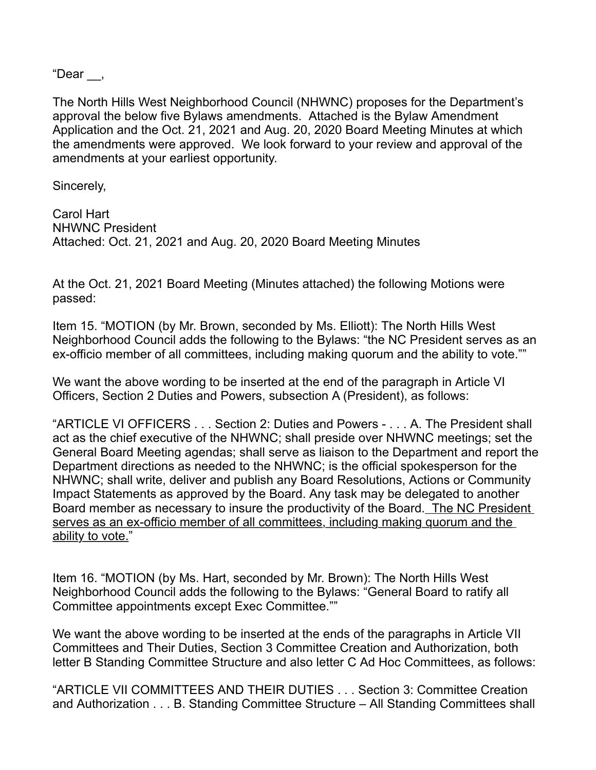"Dear \_\_,

The North Hills West Neighborhood Council (NHWNC) proposes for the Department's approval the below five Bylaws amendments. Attached is the Bylaw Amendment Application and the Oct. 21, 2021 and Aug. 20, 2020 Board Meeting Minutes at which the amendments were approved. We look forward to your review and approval of the amendments at your earliest opportunity.

Sincerely,

Carol Hart NHWNC President Attached: Oct. 21, 2021 and Aug. 20, 2020 Board Meeting Minutes

At the Oct. 21, 2021 Board Meeting (Minutes attached) the following Motions were passed:

Item 15. "MOTION (by Mr. Brown, seconded by Ms. Elliott): The North Hills West Neighborhood Council adds the following to the Bylaws: "the NC President serves as an ex-officio member of all committees, including making quorum and the ability to vote.""

We want the above wording to be inserted at the end of the paragraph in Article VI Officers, Section 2 Duties and Powers, subsection A (President), as follows:

"ARTICLE VI OFFICERS . . . Section 2: Duties and Powers - . . . A. The President shall act as the chief executive of the NHWNC; shall preside over NHWNC meetings; set the General Board Meeting agendas; shall serve as liaison to the Department and report the Department directions as needed to the NHWNC; is the official spokesperson for the NHWNC; shall write, deliver and publish any Board Resolutions, Actions or Community Impact Statements as approved by the Board. Any task may be delegated to another Board member as necessary to insure the productivity of the Board. The NC President serves as an ex-officio member of all committees, including making quorum and the ability to vote."

Item 16. "MOTION (by Ms. Hart, seconded by Mr. Brown): The North Hills West Neighborhood Council adds the following to the Bylaws: "General Board to ratify all Committee appointments except Exec Committee.""

We want the above wording to be inserted at the ends of the paragraphs in Article VII Committees and Their Duties, Section 3 Committee Creation and Authorization, both letter B Standing Committee Structure and also letter C Ad Hoc Committees, as follows:

"ARTICLE VII COMMITTEES AND THEIR DUTIES . . . Section 3: Committee Creation and Authorization . . . B. Standing Committee Structure – All Standing Committees shall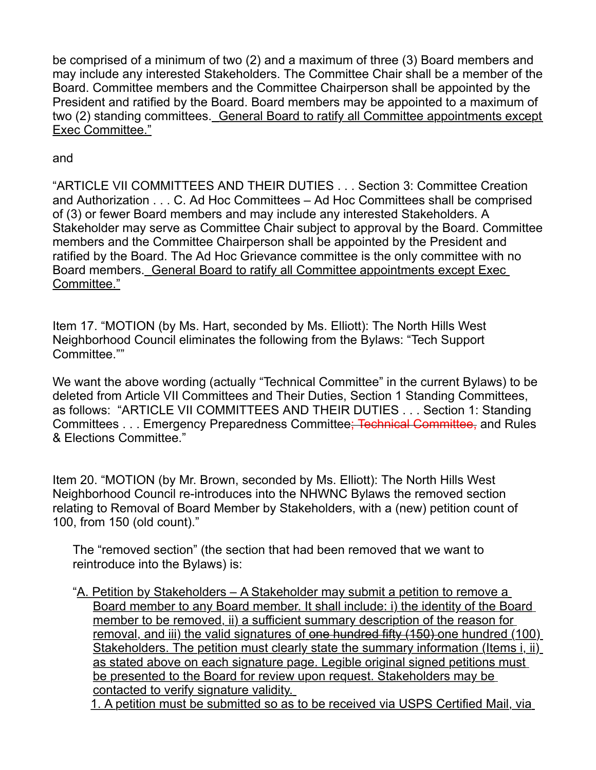be comprised of a minimum of two (2) and a maximum of three (3) Board members and may include any interested Stakeholders. The Committee Chair shall be a member of the Board. Committee members and the Committee Chairperson shall be appointed by the President and ratified by the Board. Board members may be appointed to a maximum of two (2) standing committees. General Board to ratify all Committee appointments except Exec Committee."

and

"ARTICLE VII COMMITTEES AND THEIR DUTIES . . . Section 3: Committee Creation and Authorization . . . C. Ad Hoc Committees – Ad Hoc Committees shall be comprised of (3) or fewer Board members and may include any interested Stakeholders. A Stakeholder may serve as Committee Chair subject to approval by the Board. Committee members and the Committee Chairperson shall be appointed by the President and ratified by the Board. The Ad Hoc Grievance committee is the only committee with no Board members. General Board to ratify all Committee appointments except Exec Committee."

Item 17. "MOTION (by Ms. Hart, seconded by Ms. Elliott): The North Hills West Neighborhood Council eliminates the following from the Bylaws: "Tech Support Committee.""

We want the above wording (actually "Technical Committee" in the current Bylaws) to be deleted from Article VII Committees and Their Duties, Section 1 Standing Committees, as follows: "ARTICLE VII COMMITTEES AND THEIR DUTIES . . . Section 1: Standing Committees . . . Emergency Preparedness Committee; Technical Committee, and Rules & Elections Committee."

Item 20. "MOTION (by Mr. Brown, seconded by Ms. Elliott): The North Hills West Neighborhood Council re-introduces into the NHWNC Bylaws the removed section relating to Removal of Board Member by Stakeholders, with a (new) petition count of 100, from 150 (old count)."

The "removed section" (the section that had been removed that we want to reintroduce into the Bylaws) is:

"A. Petition by Stakeholders – A Stakeholder may submit a petition to remove a Board member to any Board member. It shall include: i) the identity of the Board member to be removed, ii) a sufficient summary description of the reason for removal, and iii) the valid signatures of one hundred fifty (150) one hundred (100) Stakeholders. The petition must clearly state the summary information (Items i, ii) as stated above on each signature page. Legible original signed petitions must be presented to the Board for review upon request. Stakeholders may be contacted to verify signature validity.

1. A petition must be submitted so as to be received via USPS Certified Mail, via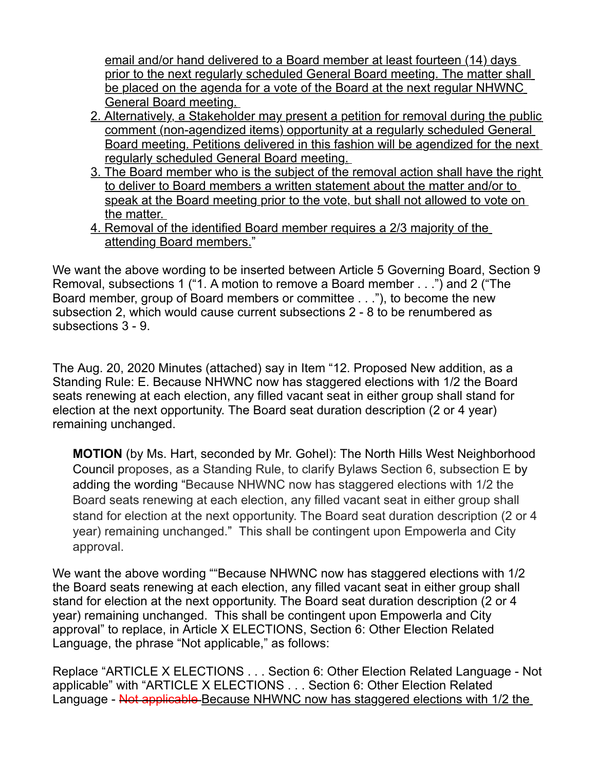email and/or hand delivered to a Board member at least fourteen (14) days prior to the next regularly scheduled General Board meeting. The matter shall be placed on the agenda for a vote of the Board at the next regular NHWNC General Board meeting.

- 2. Alternatively, a Stakeholder may present a petition for removal during the public comment (non-agendized items) opportunity at a regularly scheduled General Board meeting. Petitions delivered in this fashion will be agendized for the next regularly scheduled General Board meeting.
- 3. The Board member who is the subject of the removal action shall have the right to deliver to Board members a written statement about the matter and/or to speak at the Board meeting prior to the vote, but shall not allowed to vote on the matter.
- 4. Removal of the identified Board member requires a 2/3 majority of the attending Board members."

We want the above wording to be inserted between Article 5 Governing Board, Section 9 Removal, subsections 1 ("1. A motion to remove a Board member . . .") and 2 ("The Board member, group of Board members or committee . . ."), to become the new subsection 2, which would cause current subsections 2 - 8 to be renumbered as subsections 3 - 9.

The Aug. 20, 2020 Minutes (attached) say in Item "12. Proposed New addition, as a Standing Rule: E. Because NHWNC now has staggered elections with 1/2 the Board seats renewing at each election, any filled vacant seat in either group shall stand for election at the next opportunity. The Board seat duration description (2 or 4 year) remaining unchanged.

**MOTION** (by Ms. Hart, seconded by Mr. Gohel): The North Hills West Neighborhood Council proposes, as a Standing Rule, to clarify Bylaws Section 6, subsection E by adding the wording "Because NHWNC now has staggered elections with 1/2 the Board seats renewing at each election, any filled vacant seat in either group shall stand for election at the next opportunity. The Board seat duration description (2 or 4 year) remaining unchanged." This shall be contingent upon Empowerla and City approval.

We want the above wording ""Because NHWNC now has staggered elections with 1/2 the Board seats renewing at each election, any filled vacant seat in either group shall stand for election at the next opportunity. The Board seat duration description (2 or 4 year) remaining unchanged. This shall be contingent upon Empowerla and City approval" to replace, in Article X ELECTIONS, Section 6: Other Election Related Language, the phrase "Not applicable," as follows:

Replace "ARTICLE X ELECTIONS . . . Section 6: Other Election Related Language - Not applicable" with "ARTICLE X ELECTIONS . . . Section 6: Other Election Related Language - Not applicable Because NHWNC now has staggered elections with 1/2 the